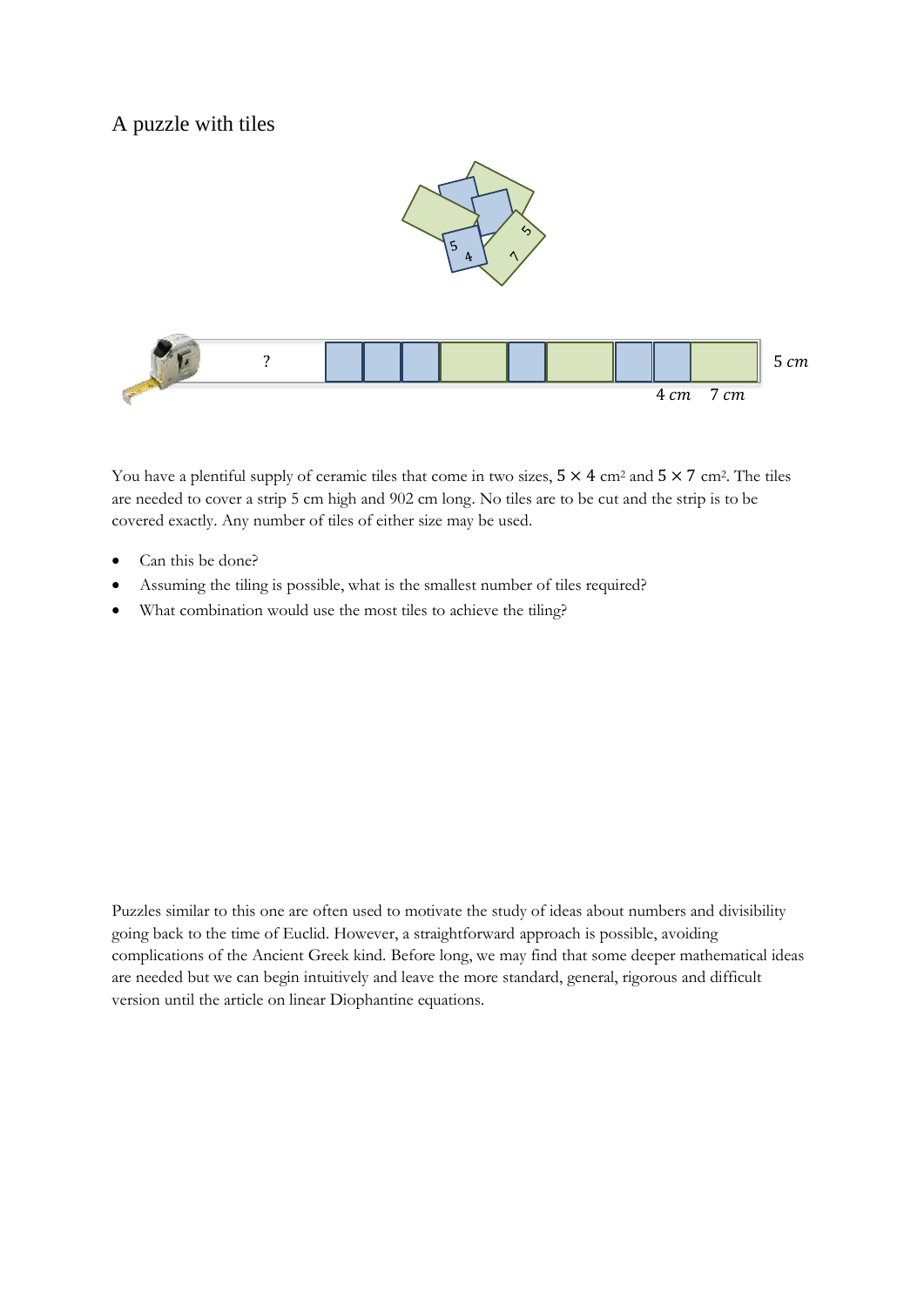## A puzzle with tiles



You have a plentiful supply of ceramic tiles that come in two sizes,  $5 \times 4$  cm<sup>2</sup> and  $5 \times 7$  cm<sup>2</sup>. The tiles are needed to cover a strip 5 cm high and 902 cm long. No tiles are to be cut and the strip is to be covered exactly. Any number of tiles of either size may be used.

- Can this be done?
- Assuming the tiling is possible, what is the smallest number of tiles required?
- What combination would use the most tiles to achieve the tiling?

Puzzles similar to this one are often used to motivate the study of ideas about numbers and divisibility going back to the time of Euclid. However, a straightforward approach is possible, avoiding complications of the Ancient Greek kind. Before long, we may find that some deeper mathematical ideas are needed but we can begin intuitively and leave the more standard, general, rigorous and difficult version until the article on linear Diophantine equations.